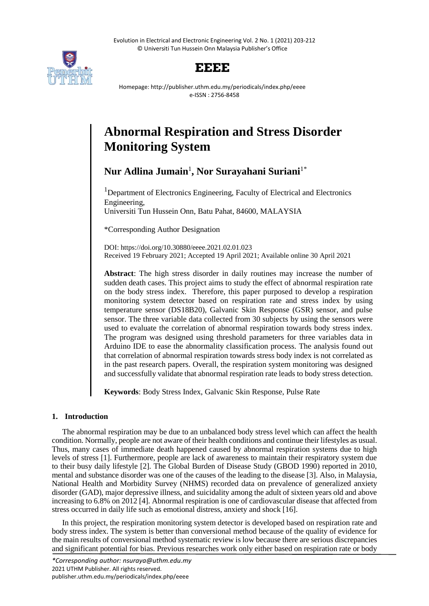Evolution in Electrical and Electronic Engineering Vol. 2 No. 1 (2021) 203-212 © Universiti Tun Hussein Onn Malaysia Publisher's Office



## **EEEE**

Homepage: http://publisher.uthm.edu.my/periodicals/index.php/eeee e-ISSN : 2756-8458

# **Abnormal Respiration and Stress Disorder Monitoring System**

**Nur Adlina Jumain**<sup>1</sup> **, Nor Surayahani Suriani**1\*

<sup>1</sup>Department of Electronics Engineering, Faculty of Electrical and Electronics Engineering, Universiti Tun Hussein Onn, Batu Pahat, 84600, MALAYSIA

\*Corresponding Author Designation

DOI: https://doi.org/10.30880/eeee.2021.02.01.023 Received 19 February 2021; Accepted 19 April 2021; Available online 30 April 2021

**Abstract**: The high stress disorder in daily routines may increase the number of sudden death cases. This project aims to study the effect of abnormal respiration rate on the body stress index. Therefore, this paper purposed to develop a respiration monitoring system detector based on respiration rate and stress index by using temperature sensor (DS18B20), Galvanic Skin Response (GSR) sensor, and pulse sensor. The three variable data collected from 30 subjects by using the sensors were used to evaluate the correlation of abnormal respiration towards body stress index. The program was designed using threshold parameters for three variables data in Arduino IDE to ease the abnormality classification process. The analysis found out that correlation of abnormal respiration towards stress body index is not correlated as in the past research papers. Overall, the respiration system monitoring was designed and successfully validate that abnormal respiration rate leads to body stress detection.

**Keywords**: Body Stress Index, Galvanic Skin Response, Pulse Rate

## **1. Introduction**

The abnormal respiration may be due to an unbalanced body stress level which can affect the health condition. Normally, people are not aware of their health conditions and continue their lifestyles as usual. Thus, many cases of immediate death happened caused by abnormal respiration systems due to high levels of stress [1]. Furthermore, people are lack of awareness to maintain their respiratory system due to their busy daily lifestyle [2]. The Global Burden of Disease Study (GBOD 1990) reported in 2010, mental and substance disorder was one of the causes of the leading to the disease [3]. Also, in Malaysia, National Health and Morbidity Survey (NHMS) recorded data on prevalence of generalized anxiety disorder (GAD), major depressive illness, and suicidality among the adult of sixteen years old and above increasing to 6.8% on 2012 [4]. Abnormal respiration is one of cardiovascular disease that affected from stress occurred in daily life such as emotional distress, anxiety and shock [16].

In this project, the respiration monitoring system detector is developed based on respiration rate and body stress index. The system is better than conversional method because of the quality of evidence for the main results of conversional method systematic review is low because there are serious discrepancies and significant potential for bias. Previous researches work only either based on respiration rate or body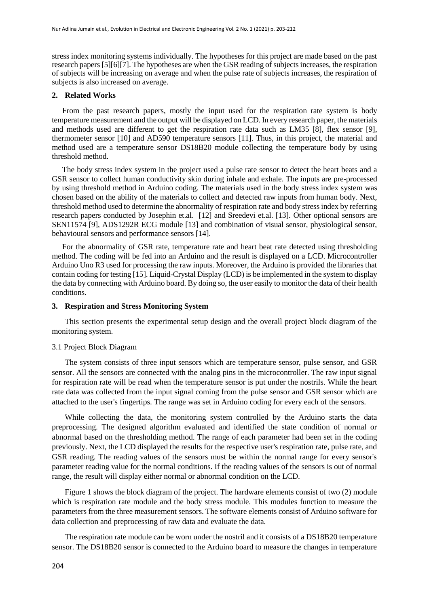stress index monitoring systems individually. The hypotheses for this project are made based on the past research papers[5][6][7]. The hypotheses are when the GSR reading of subjects increases, the respiration of subjects will be increasing on average and when the pulse rate of subjects increases, the respiration of subjects is also increased on average.

## **2. Related Works**

From the past research papers, mostly the input used for the respiration rate system is body temperature measurement and the output will be displayed on LCD. In every research paper, the materials and methods used are different to get the respiration rate data such as LM35 [8], flex sensor [9], thermometer sensor [10] and AD590 temperature sensors [11]. Thus, in this project, the material and method used are a temperature sensor DS18B20 module collecting the temperature body by using threshold method.

The body stress index system in the project used a pulse rate sensor to detect the heart beats and a GSR sensor to collect human conductivity skin during inhale and exhale. The inputs are pre-processed by using threshold method in Arduino coding. The materials used in the body stress index system was chosen based on the ability of the materials to collect and detected raw inputs from human body. Next, threshold method used to determine the abnormality of respiration rate and body stress index by referring research papers conducted by Josephin et.al. [12] and Sreedevi et.al. [13]. Other optional sensors are SEN11574 [9], ADS1292R ECG module [13] and combination of visual sensor, physiological sensor, behavioural sensors and performance sensors [14].

For the abnormality of GSR rate, temperature rate and heart beat rate detected using thresholding method. The coding will be fed into an Arduino and the result is displayed on a LCD. Microcontroller Arduino Uno R3 used for processing the raw inputs. Moreover, the Arduino is provided the libraries that contain coding for testing [15]. Liquid-Crystal Display (LCD) is be implemented in the system to display the data by connecting with Arduino board. By doing so, the user easily to monitor the data of their health conditions.

#### **3. Respiration and Stress Monitoring System**

This section presents the experimental setup design and the overall project block diagram of the monitoring system.

## 3.1 Project Block Diagram

The system consists of three input sensors which are temperature sensor, pulse sensor, and GSR sensor. All the sensors are connected with the analog pins in the microcontroller. The raw input signal for respiration rate will be read when the temperature sensor is put under the nostrils. While the heart rate data was collected from the input signal coming from the pulse sensor and GSR sensor which are attached to the user's fingertips. The range was set in Arduino coding for every each of the sensors.

While collecting the data, the monitoring system controlled by the Arduino starts the data preprocessing. The designed algorithm evaluated and identified the state condition of normal or abnormal based on the thresholding method. The range of each parameter had been set in the coding previously. Next, the LCD displayed the results for the respective user's respiration rate, pulse rate, and GSR reading. The reading values of the sensors must be within the normal range for every sensor's parameter reading value for the normal conditions. If the reading values of the sensors is out of normal range, the result will display either normal or abnormal condition on the LCD.

Figure 1 shows the block diagram of the project. The hardware elements consist of two (2) module which is respiration rate module and the body stress module. This modules function to measure the parameters from the three measurement sensors. The software elements consist of Arduino software for data collection and preprocessing of raw data and evaluate the data.

The respiration rate module can be worn under the nostril and it consists of a DS18B20 temperature sensor. The DS18B20 sensor is connected to the Arduino board to measure the changes in temperature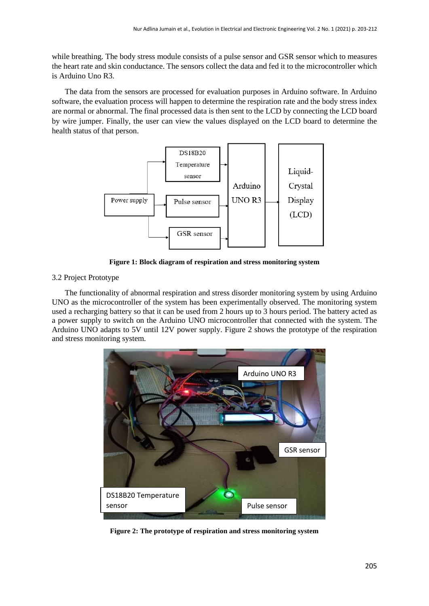while breathing. The body stress module consists of a pulse sensor and GSR sensor which to measures the heart rate and skin conductance. The sensors collect the data and fed it to the microcontroller which is Arduino Uno R3.

The data from the sensors are processed for evaluation purposes in Arduino software. In Arduino software, the evaluation process will happen to determine the respiration rate and the body stress index are normal or abnormal. The final processed data is then sent to the LCD by connecting the LCD board by wire jumper. Finally, the user can view the values displayed on the LCD board to determine the health status of that person.



**Figure 1: Block diagram of respiration and stress monitoring system**

## 3.2 Project Prototype

The functionality of abnormal respiration and stress disorder monitoring system by using Arduino UNO as the microcontroller of the system has been experimentally observed. The monitoring system used a recharging battery so that it can be used from 2 hours up to 3 hours period. The battery acted as a power supply to switch on the Arduino UNO microcontroller that connected with the system. The Arduino UNO adapts to 5V until 12V power supply. Figure 2 shows the prototype of the respiration and stress monitoring system.



**Figure 2: The prototype of respiration and stress monitoring system**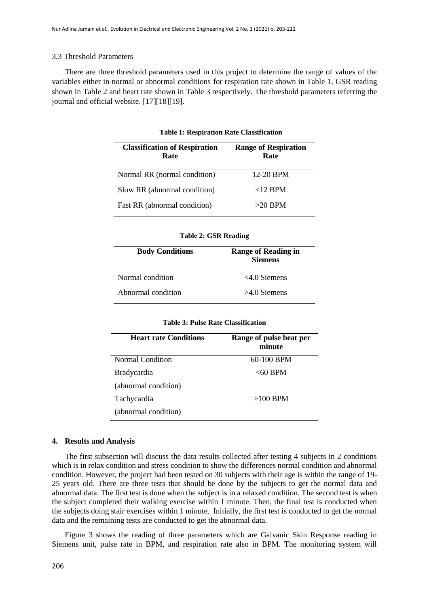#### 3.3 Threshold Parameters

There are three threshold parameters used in this project to determine the range of values of the variables either in normal or abnormal conditions for respiration rate shown in Table 1, GSR reading shown in Table 2 and heart rate shown in Table 3 respectively. The threshold parameters referring the journal and official website. [17][18][19].

| <b>Classification of Respiration</b><br>Rate | <b>Range of Respiration</b><br>Rate |
|----------------------------------------------|-------------------------------------|
| Normal RR (normal condition)                 | 12-20 BPM                           |
| Slow RR (abnormal condition)                 | ${<}12$ BPM                         |
| Fast RR (abnormal condition)                 | $>20$ BPM                           |

#### **Table 1: Respiration Rate Classification**

#### **Table 2: GSR Reading**

| <b>Body Conditions</b> | <b>Range of Reading in</b><br><b>Siemens</b> |
|------------------------|----------------------------------------------|
| Normal condition       | $<$ 4.0 Siemens                              |
| Abnormal condition     | $>4.0$ Siemens                               |

#### **Table 3: Pulse Rate Classification**

| <b>Heart rate Conditions</b> | Range of pulse beat per<br>minute |
|------------------------------|-----------------------------------|
| Normal Condition             | $60-100$ BPM                      |
| <b>Bradycardia</b>           | $<60$ BPM                         |
| (abnormal condition)         |                                   |
| Tachycardia                  | $>100$ BPM                        |
| (abnormal condition)         |                                   |

#### **4. Results and Analysis**

The first subsection will discuss the data results collected after testing 4 subjects in 2 conditions which is in relax condition and stress condition to show the differences normal condition and abnormal condition. However, the project had been tested on 30 subjects with their age is within the range of 19- 25 years old. There are three tests that should be done by the subjects to get the normal data and abnormal data. The first test is done when the subject is in a relaxed condition. The second test is when the subject completed their walking exercise within 1 minute. Then, the final test is conducted when the subjects doing stair exercises within 1 minute. Initially, the first test is conducted to get the normal data and the remaining tests are conducted to get the abnormal data.

Figure 3 shows the reading of three parameters which are Galvanic Skin Response reading in Siemens unit, pulse rate in BPM, and respiration rate also in BPM. The monitoring system will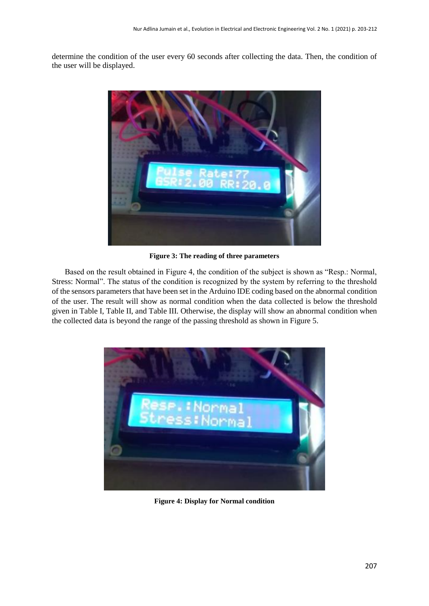determine the condition of the user every 60 seconds after collecting the data. Then, the condition of the user will be displayed.



**Figure 3: The reading of three parameters**

Based on the result obtained in Figure 4, the condition of the subject is shown as "Resp.: Normal, Stress: Normal". The status of the condition is recognized by the system by referring to the threshold of the sensors parameters that have been set in the Arduino IDE coding based on the abnormal condition of the user. The result will show as normal condition when the data collected is below the threshold given in Table I, Table II, and Table III. Otherwise, the display will show an abnormal condition when the collected data is beyond the range of the passing threshold as shown in Figure 5.



**Figure 4: Display for Normal condition**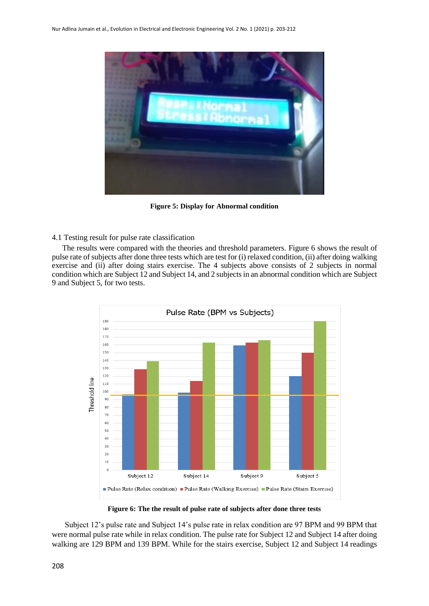

**Figure 5: Display for Abnormal condition**

## 4.1 Testing result for pulse rate classification

The results were compared with the theories and threshold parameters. Figure 6 shows the result of pulse rate of subjects after done three tests which are test for (i) relaxed condition, (ii) after doing walking exercise and (ii) after doing stairs exercise. The 4 subjects above consists of 2 subjects in normal condition which are Subject 12 and Subject 14, and 2 subjects in an abnormal condition which are Subject 9 and Subject 5, for two tests.



**Figure 6: The the result of pulse rate of subjects after done three tests**

Subject 12's pulse rate and Subject 14's pulse rate in relax condition are 97 BPM and 99 BPM that were normal pulse rate while in relax condition. The pulse rate for Subject 12 and Subject 14 after doing walking are 129 BPM and 139 BPM. While for the stairs exercise, Subject 12 and Subject 14 readings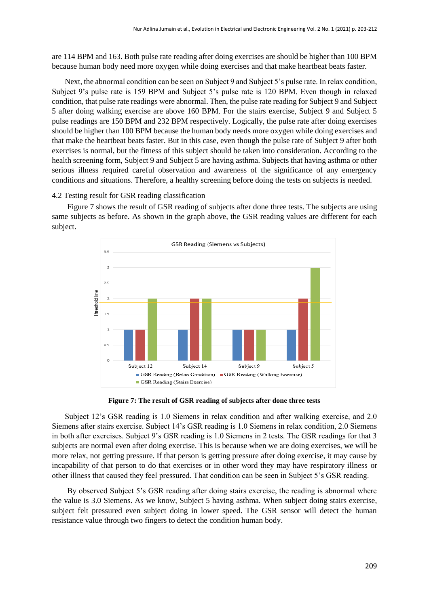are 114 BPM and 163. Both pulse rate reading after doing exercises are should be higher than 100 BPM because human body need more oxygen while doing exercises and that make heartbeat beats faster.

Next, the abnormal condition can be seen on Subject 9 and Subject 5's pulse rate. In relax condition, Subject 9's pulse rate is 159 BPM and Subject 5's pulse rate is 120 BPM. Even though in relaxed condition, that pulse rate readings were abnormal. Then, the pulse rate reading for Subject 9 and Subject 5 after doing walking exercise are above 160 BPM. For the stairs exercise, Subject 9 and Subject 5 pulse readings are 150 BPM and 232 BPM respectively. Logically, the pulse rate after doing exercises should be higher than 100 BPM because the human body needs more oxygen while doing exercises and that make the heartbeat beats faster. But in this case, even though the pulse rate of Subject 9 after both exercises is normal, but the fitness of this subject should be taken into consideration. According to the health screening form, Subject 9 and Subject 5 are having asthma. Subjects that having asthma or other serious illness required careful observation and awareness of the significance of any emergency conditions and situations. Therefore, a healthy screening before doing the tests on subjects is needed.

## 4.2 Testing result for GSR reading classification

Figure 7 shows the result of GSR reading of subjects after done three tests. The subjects are using same subjects as before. As shown in the graph above, the GSR reading values are different for each subject.



**Figure 7: The result of GSR reading of subjects after done three tests**

Subject 12's GSR reading is 1.0 Siemens in relax condition and after walking exercise, and 2.0 Siemens after stairs exercise. Subject 14's GSR reading is 1.0 Siemens in relax condition, 2.0 Siemens in both after exercises. Subject 9's GSR reading is 1.0 Siemens in 2 tests. The GSR readings for that 3 subjects are normal even after doing exercise. This is because when we are doing exercises, we will be more relax, not getting pressure. If that person is getting pressure after doing exercise, it may cause by incapability of that person to do that exercises or in other word they may have respiratory illness or other illness that caused they feel pressured. That condition can be seen in Subject 5's GSR reading.

By observed Subject 5's GSR reading after doing stairs exercise, the reading is abnormal where the value is 3.0 Siemens. As we know, Subject 5 having asthma. When subject doing stairs exercise, subject felt pressured even subject doing in lower speed. The GSR sensor will detect the human resistance value through two fingers to detect the condition human body.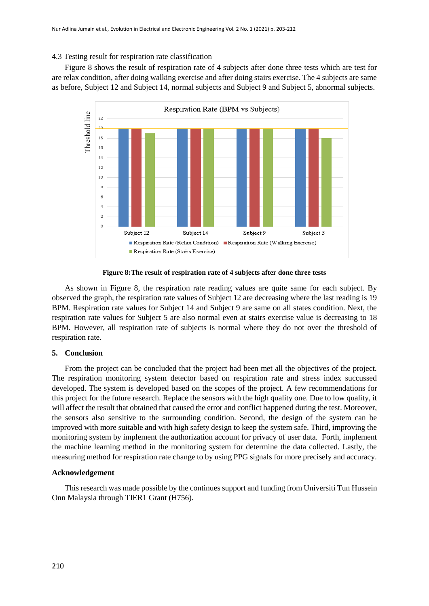## 4.3 Testing result for respiration rate classification

Figure 8 shows the result of respiration rate of 4 subjects after done three tests which are test for are relax condition, after doing walking exercise and after doing stairs exercise. The 4 subjects are same as before, Subject 12 and Subject 14, normal subjects and Subject 9 and Subject 5, abnormal subjects.



**Figure 8:The result of respiration rate of 4 subjects after done three tests**

As shown in Figure 8, the respiration rate reading values are quite same for each subject. By observed the graph, the respiration rate values of Subject 12 are decreasing where the last reading is 19 BPM. Respiration rate values for Subject 14 and Subject 9 are same on all states condition. Next, the respiration rate values for Subject 5 are also normal even at stairs exercise value is decreasing to 18 BPM. However, all respiration rate of subjects is normal where they do not over the threshold of respiration rate.

## **5. Conclusion**

From the project can be concluded that the project had been met all the objectives of the project. The respiration monitoring system detector based on respiration rate and stress index succussed developed. The system is developed based on the scopes of the project. A few recommendations for this project for the future research. Replace the sensors with the high quality one. Due to low quality, it will affect the result that obtained that caused the error and conflict happened during the test. Moreover, the sensors also sensitive to the surrounding condition. Second, the design of the system can be improved with more suitable and with high safety design to keep the system safe. Third, improving the monitoring system by implement the authorization account for privacy of user data. Forth, implement the machine learning method in the monitoring system for determine the data collected. Lastly, the measuring method for respiration rate change to by using PPG signals for more precisely and accuracy.

## **Acknowledgement**

This research was made possible by the continues support and funding from Universiti Tun Hussein Onn Malaysia through TIER1 Grant (H756).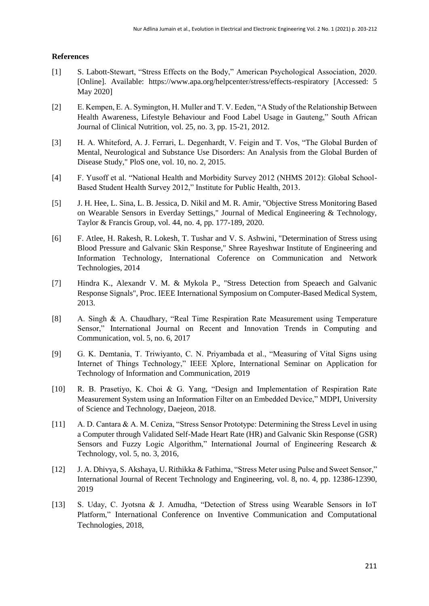## **References**

- [1] S. Labott-Stewart, "Stress Effects on the Body," American Psychological Association, 2020. [Online]. Available: https://www.apa.org/helpcenter/stress/effects-respiratory [Accessed: 5 May 2020]
- [2] E. Kempen, E. A. Symington, H. Muller and T. V. Eeden, "A Study of the Relationship Between Health Awareness, Lifestyle Behaviour and Food Label Usage in Gauteng," South African Journal of Clinical Nutrition, vol. 25, no. 3, pp. 15-21, 2012.
- [3] H. A. Whiteford, A. J. Ferrari, L. Degenhardt, V. Feigin and T. Vos, "The Global Burden of Mental, Neurological and Substance Use Disorders: An Analysis from the Global Burden of Disease Study," PloS one, vol. 10, no. 2, 2015.
- [4] F. Yusoff et al. "National Health and Morbidity Survey 2012 (NHMS 2012): Global School-Based Student Health Survey 2012," Institute for Public Health, 2013.
- [5] J. H. Hee, L. Sina, L. B. Jessica, D. Nikil and M. R. Amir, "Objective Stress Monitoring Based on Wearable Sensors in Everday Settings," Journal of Medical Engineering & Technology, Taylor & Francis Group, vol. 44, no. 4, pp. 177-189, 2020.
- [6] F. Atlee, H. Rakesh, R. Lokesh, T. Tushar and V. S. Ashwini, "Determination of Stress using Blood Pressure and Galvanic Skin Response," Shree Rayeshwar Institute of Engineering and Information Technology, International Coference on Communication and Network Technologies, 2014
- [7] Hindra K., Alexandr V. M. & Mykola P., "Stress Detection from Speaech and Galvanic Response Signals", Proc. IEEE International Symposium on Computer-Based Medical System, 2013.
- [8] A. Singh & A. Chaudhary, "Real Time Respiration Rate Measurement using Temperature Sensor," International Journal on Recent and Innovation Trends in Computing and Communication, vol. 5, no. 6, 2017
- [9] G. K. Demtania, T. Triwiyanto, C. N. Priyambada et al., "Measuring of Vital Signs using Internet of Things Technology," IEEE Xplore, International Seminar on Application for Technology of Information and Communication, 2019
- [10] R. B. Prasetiyo, K. Choi & G. Yang, "Design and Implementation of Respiration Rate Measurement System using an Information Filter on an Embedded Device," MDPI, University of Science and Technology, Daejeon, 2018.
- [11] A. D. Cantara & A. M. Ceniza, "Stress Sensor Prototype: Determining the Stress Level in using a Computer through Validated Self-Made Heart Rate (HR) and Galvanic Skin Response (GSR) Sensors and Fuzzy Logic Algorithm," International Journal of Engineering Research & Technology, vol. 5, no. 3, 2016,
- [12] J. A. Dhivya, S. Akshaya, U. Rithikka & Fathima, "Stress Meter using Pulse and Sweet Sensor," International Journal of Recent Technology and Engineering, vol. 8, no. 4, pp. 12386-12390, 2019
- [13] S. Uday, C. Jyotsna & J. Amudha, "Detection of Stress using Wearable Sensors in IoT Platform," International Conference on Inventive Communication and Computational Technologies, 2018,